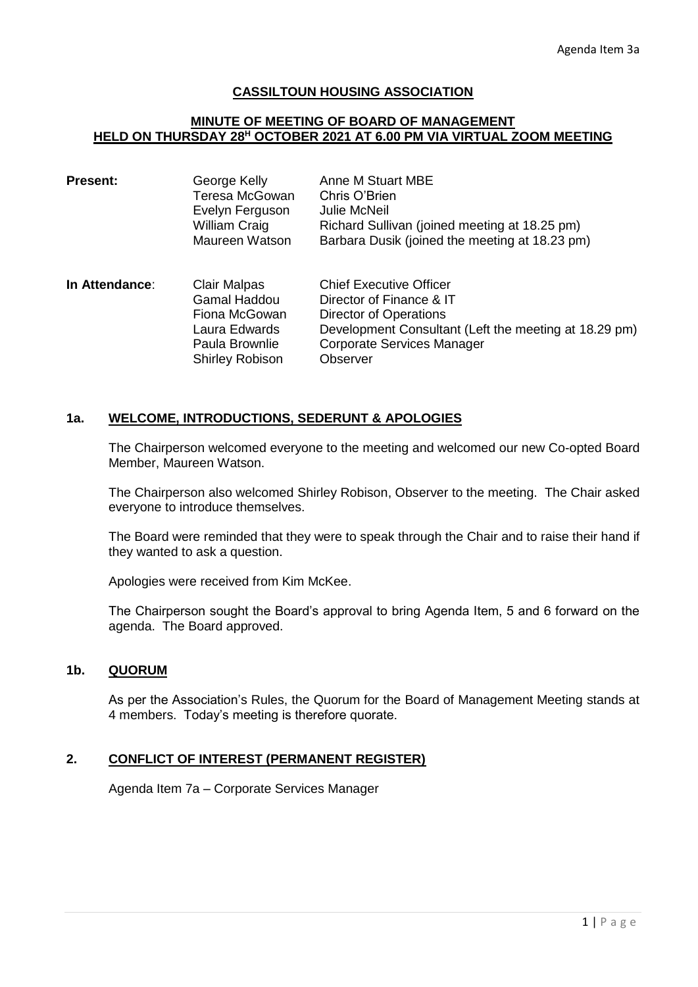## **CASSILTOUN HOUSING ASSOCIATION**

#### **MINUTE OF MEETING OF BOARD OF MANAGEMENT HELD ON THURSDAY 28<sup>H</sup> OCTOBER 2021 AT 6.00 PM VIA VIRTUAL ZOOM MEETING**

| <b>Present:</b> | George Kelly         | Anne M Stuart MBE                              |  |  |
|-----------------|----------------------|------------------------------------------------|--|--|
|                 | Teresa McGowan       | Chris O'Brien                                  |  |  |
|                 | Evelyn Ferguson      | Julie McNeil                                   |  |  |
|                 | <b>William Craig</b> | Richard Sullivan (joined meeting at 18.25 pm)  |  |  |
|                 | Maureen Watson       | Barbara Dusik (joined the meeting at 18.23 pm) |  |  |
| In Attendance:  | <b>Clair Malpas</b>  | <b>Chief Executive Officer</b>                 |  |  |
|                 | <b>Gamal Haddou</b>  | Director of Finance & IT                       |  |  |
|                 | Fiona McGowan        | Director of Operations                         |  |  |

Laura Edwards Development Consultant (Left the meeting at 18.29 pm) Paula Brownlie Corporate Services Manager Shirley Robison Observer

## **1a. WELCOME, INTRODUCTIONS, SEDERUNT & APOLOGIES**

The Chairperson welcomed everyone to the meeting and welcomed our new Co-opted Board Member, Maureen Watson.

The Chairperson also welcomed Shirley Robison, Observer to the meeting. The Chair asked everyone to introduce themselves.

The Board were reminded that they were to speak through the Chair and to raise their hand if they wanted to ask a question.

Apologies were received from Kim McKee.

The Chairperson sought the Board's approval to bring Agenda Item, 5 and 6 forward on the agenda. The Board approved.

#### **1b. QUORUM**

As per the Association's Rules, the Quorum for the Board of Management Meeting stands at 4 members. Today's meeting is therefore quorate.

## **2. CONFLICT OF INTEREST (PERMANENT REGISTER)**

Agenda Item 7a – Corporate Services Manager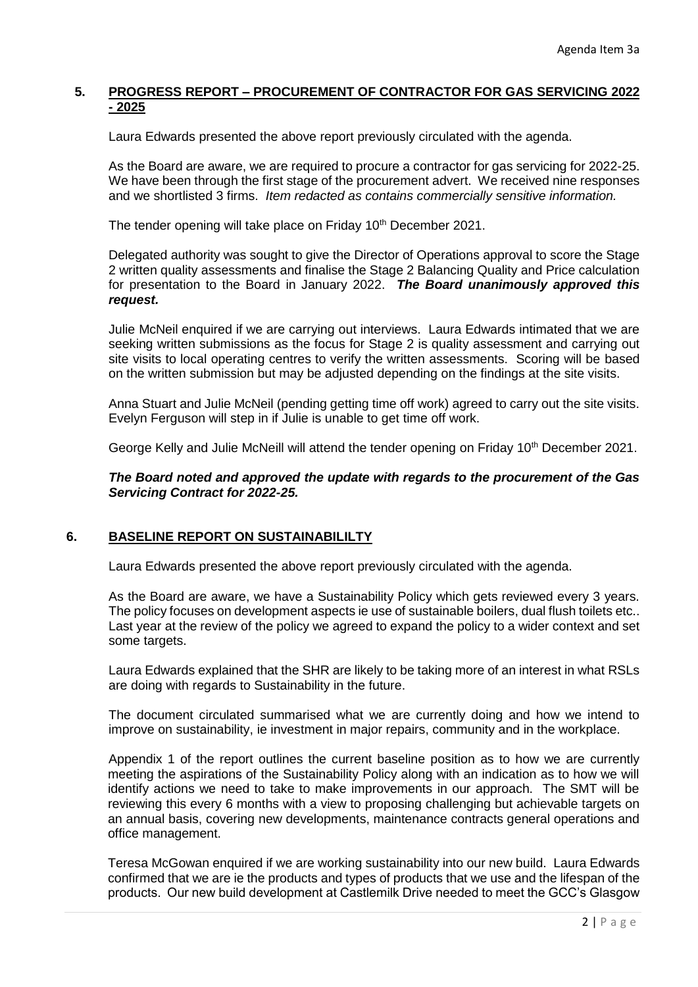## **5. PROGRESS REPORT – PROCUREMENT OF CONTRACTOR FOR GAS SERVICING 2022 - 2025**

Laura Edwards presented the above report previously circulated with the agenda.

As the Board are aware, we are required to procure a contractor for gas servicing for 2022-25. We have been through the first stage of the procurement advert. We received nine responses and we shortlisted 3 firms. *Item redacted as contains commercially sensitive information.*

The tender opening will take place on Friday 10<sup>th</sup> December 2021.

Delegated authority was sought to give the Director of Operations approval to score the Stage 2 written quality assessments and finalise the Stage 2 Balancing Quality and Price calculation for presentation to the Board in January 2022. *The Board unanimously approved this request.*

Julie McNeil enquired if we are carrying out interviews. Laura Edwards intimated that we are seeking written submissions as the focus for Stage 2 is quality assessment and carrying out site visits to local operating centres to verify the written assessments. Scoring will be based on the written submission but may be adjusted depending on the findings at the site visits.

Anna Stuart and Julie McNeil (pending getting time off work) agreed to carry out the site visits. Evelyn Ferguson will step in if Julie is unable to get time off work.

George Kelly and Julie McNeill will attend the tender opening on Friday 10<sup>th</sup> December 2021.

*The Board noted and approved the update with regards to the procurement of the Gas Servicing Contract for 2022-25.*

## **6. BASELINE REPORT ON SUSTAINABILILTY**

Laura Edwards presented the above report previously circulated with the agenda.

As the Board are aware, we have a Sustainability Policy which gets reviewed every 3 years. The policy focuses on development aspects ie use of sustainable boilers, dual flush toilets etc.. Last year at the review of the policy we agreed to expand the policy to a wider context and set some targets.

Laura Edwards explained that the SHR are likely to be taking more of an interest in what RSLs are doing with regards to Sustainability in the future.

The document circulated summarised what we are currently doing and how we intend to improve on sustainability, ie investment in major repairs, community and in the workplace.

Appendix 1 of the report outlines the current baseline position as to how we are currently meeting the aspirations of the Sustainability Policy along with an indication as to how we will identify actions we need to take to make improvements in our approach. The SMT will be reviewing this every 6 months with a view to proposing challenging but achievable targets on an annual basis, covering new developments, maintenance contracts general operations and office management.

Teresa McGowan enquired if we are working sustainability into our new build. Laura Edwards confirmed that we are ie the products and types of products that we use and the lifespan of the products. Our new build development at Castlemilk Drive needed to meet the GCC's Glasgow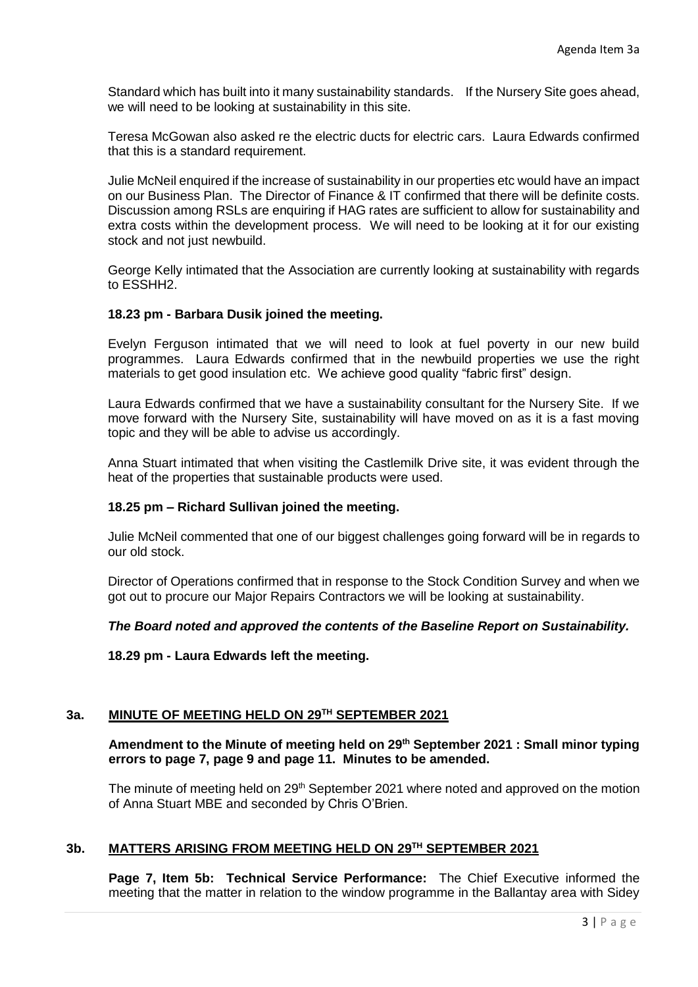Standard which has built into it many sustainability standards. If the Nursery Site goes ahead, we will need to be looking at sustainability in this site.

Teresa McGowan also asked re the electric ducts for electric cars. Laura Edwards confirmed that this is a standard requirement.

Julie McNeil enquired if the increase of sustainability in our properties etc would have an impact on our Business Plan. The Director of Finance & IT confirmed that there will be definite costs. Discussion among RSLs are enquiring if HAG rates are sufficient to allow for sustainability and extra costs within the development process. We will need to be looking at it for our existing stock and not just newbuild.

George Kelly intimated that the Association are currently looking at sustainability with regards to ESSHH2.

### **18.23 pm - Barbara Dusik joined the meeting.**

Evelyn Ferguson intimated that we will need to look at fuel poverty in our new build programmes. Laura Edwards confirmed that in the newbuild properties we use the right materials to get good insulation etc. We achieve good quality "fabric first" design.

Laura Edwards confirmed that we have a sustainability consultant for the Nursery Site. If we move forward with the Nursery Site, sustainability will have moved on as it is a fast moving topic and they will be able to advise us accordingly.

Anna Stuart intimated that when visiting the Castlemilk Drive site, it was evident through the heat of the properties that sustainable products were used.

#### **18.25 pm – Richard Sullivan joined the meeting.**

Julie McNeil commented that one of our biggest challenges going forward will be in regards to our old stock.

Director of Operations confirmed that in response to the Stock Condition Survey and when we got out to procure our Major Repairs Contractors we will be looking at sustainability.

#### *The Board noted and approved the contents of the Baseline Report on Sustainability.*

**18.29 pm - Laura Edwards left the meeting.**

#### **3a. MINUTE OF MEETING HELD ON 29TH SEPTEMBER 2021**

### **Amendment to the Minute of meeting held on 29th September 2021 : Small minor typing errors to page 7, page 9 and page 11. Minutes to be amended.**

The minute of meeting held on 29<sup>th</sup> September 2021 where noted and approved on the motion of Anna Stuart MBE and seconded by Chris O'Brien.

## **3b. MATTERS ARISING FROM MEETING HELD ON 29TH SEPTEMBER 2021**

**Page 7, Item 5b: Technical Service Performance:** The Chief Executive informed the meeting that the matter in relation to the window programme in the Ballantay area with Sidey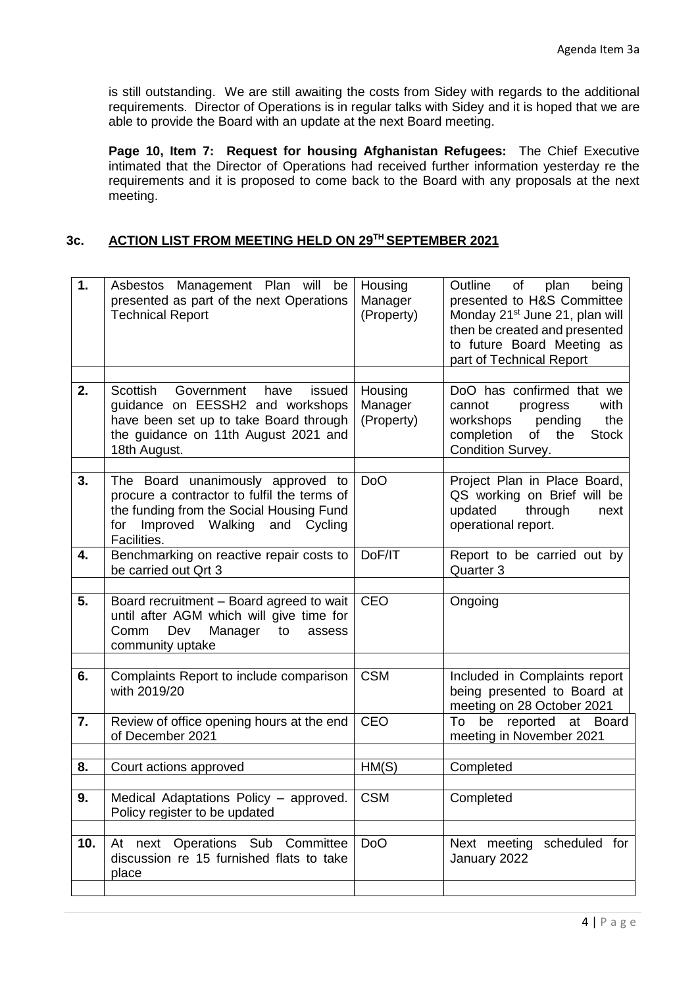is still outstanding. We are still awaiting the costs from Sidey with regards to the additional requirements. Director of Operations is in regular talks with Sidey and it is hoped that we are able to provide the Board with an update at the next Board meeting.

**Page 10, Item 7: Request for housing Afghanistan Refugees:** The Chief Executive intimated that the Director of Operations had received further information yesterday re the requirements and it is proposed to come back to the Board with any proposals at the next meeting.

# **3c. ACTION LIST FROM MEETING HELD ON 29TH SEPTEMBER 2021**

| 1.  | Asbestos Management Plan will be<br>presented as part of the next Operations<br><b>Technical Report</b>                                                                            | Housing<br>Manager<br>(Property) | of<br>plan<br>Outline<br>being<br>presented to H&S Committee<br>Monday 21 <sup>st</sup> June 21, plan will<br>then be created and presented<br>to future Board Meeting as<br>part of Technical Report |
|-----|------------------------------------------------------------------------------------------------------------------------------------------------------------------------------------|----------------------------------|-------------------------------------------------------------------------------------------------------------------------------------------------------------------------------------------------------|
| 2.  | Scottish<br>Government<br>have<br>issued                                                                                                                                           | Housing                          | DoO has confirmed that we                                                                                                                                                                             |
|     | guidance on EESSH2 and workshops<br>have been set up to take Board through<br>the guidance on 11th August 2021 and<br>18th August.                                                 | Manager<br>(Property)            | with<br>cannot<br>progress<br>workshops pending<br>the<br>completion<br>of<br>the<br><b>Stock</b><br>Condition Survey.                                                                                |
|     |                                                                                                                                                                                    |                                  |                                                                                                                                                                                                       |
| 3.  | The Board unanimously approved to<br>procure a contractor to fulfil the terms of<br>the funding from the Social Housing Fund<br>Improved Walking and Cycling<br>for<br>Facilities. | D <sub>o</sub> O                 | Project Plan in Place Board,<br>QS working on Brief will be<br>updated through<br>next<br>operational report.                                                                                         |
| 4.  | Benchmarking on reactive repair costs to<br>be carried out Qrt 3                                                                                                                   | DoF/IT                           | Report to be carried out by<br>Quarter 3                                                                                                                                                              |
| 5.  | Board recruitment - Board agreed to wait<br>until after AGM which will give time for<br>Dev<br>Manager<br>Comm<br>to<br>assess<br>community uptake                                 | <b>CEO</b>                       | Ongoing                                                                                                                                                                                               |
|     |                                                                                                                                                                                    |                                  |                                                                                                                                                                                                       |
| 6.  | Complaints Report to include comparison<br>with 2019/20                                                                                                                            | <b>CSM</b>                       | Included in Complaints report<br>being presented to Board at<br>meeting on 28 October 2021                                                                                                            |
| 7.  | Review of office opening hours at the end<br>of December 2021                                                                                                                      | <b>CEO</b>                       | To<br>be reported at Board<br>meeting in November 2021                                                                                                                                                |
|     |                                                                                                                                                                                    |                                  |                                                                                                                                                                                                       |
| 8.  | Court actions approved                                                                                                                                                             | HM(S)                            | Completed                                                                                                                                                                                             |
| 9.  | Medical Adaptations Policy - approved.<br>Policy register to be updated                                                                                                            | <b>CSM</b>                       | Completed                                                                                                                                                                                             |
| 10. | At next Operations Sub Committee<br>discussion re 15 furnished flats to take<br>place                                                                                              | DoO                              | scheduled for<br>Next meeting<br>January 2022                                                                                                                                                         |
|     |                                                                                                                                                                                    |                                  |                                                                                                                                                                                                       |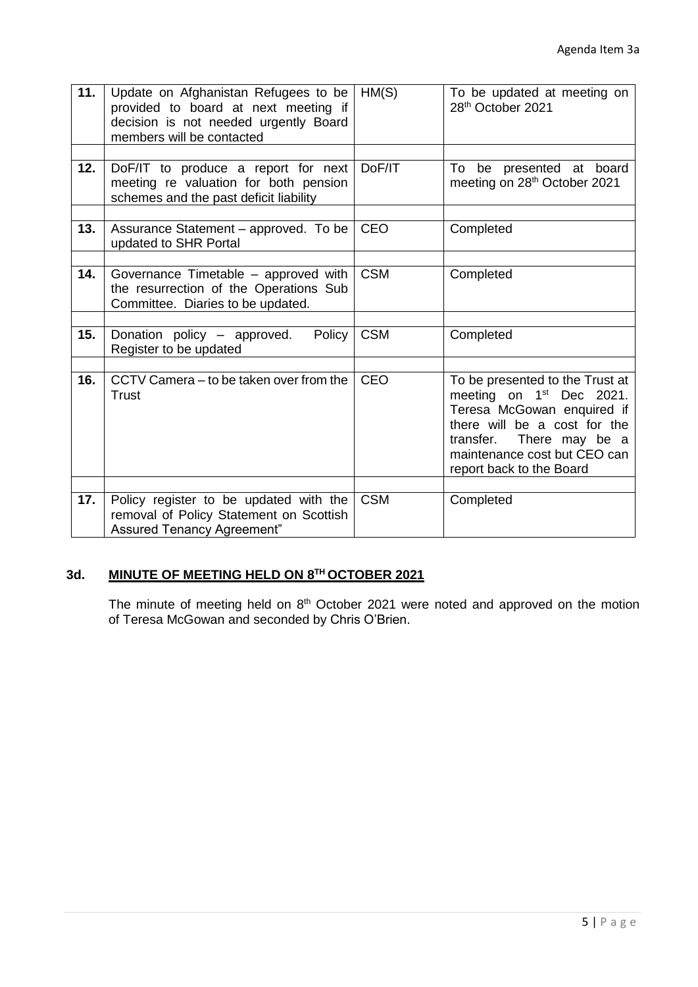| 11. | Update on Afghanistan Refugees to be<br>provided to board at next meeting if<br>decision is not needed urgently Board<br>members will be contacted | HM(S)      | To be updated at meeting on<br>28 <sup>th</sup> October 2021                                                                                                                                                                     |
|-----|----------------------------------------------------------------------------------------------------------------------------------------------------|------------|----------------------------------------------------------------------------------------------------------------------------------------------------------------------------------------------------------------------------------|
|     |                                                                                                                                                    |            |                                                                                                                                                                                                                                  |
| 12. | DoF/IT to produce a report for next<br>meeting re valuation for both pension<br>schemes and the past deficit liability                             | DoF/IT     | To be presented at board<br>meeting on 28 <sup>th</sup> October 2021                                                                                                                                                             |
|     |                                                                                                                                                    |            |                                                                                                                                                                                                                                  |
| 13. | Assurance Statement – approved. To be<br>updated to SHR Portal                                                                                     | <b>CEO</b> | Completed                                                                                                                                                                                                                        |
|     |                                                                                                                                                    |            |                                                                                                                                                                                                                                  |
| 14. | Governance Timetable - approved with<br>the resurrection of the Operations Sub<br>Committee. Diaries to be updated.                                | <b>CSM</b> | Completed                                                                                                                                                                                                                        |
|     |                                                                                                                                                    |            |                                                                                                                                                                                                                                  |
| 15. | Donation policy - approved.<br>Policy<br>Register to be updated                                                                                    | <b>CSM</b> | Completed                                                                                                                                                                                                                        |
|     |                                                                                                                                                    |            |                                                                                                                                                                                                                                  |
| 16. | CCTV Camera – to be taken over from the<br>Trust                                                                                                   | CEO        | To be presented to the Trust at<br>meeting on 1 <sup>st</sup> Dec 2021.<br>Teresa McGowan enquired if<br>there will be a cost for the<br>transfer.<br>There may be a<br>maintenance cost but CEO can<br>report back to the Board |
|     |                                                                                                                                                    |            |                                                                                                                                                                                                                                  |
| 17. | Policy register to be updated with the<br>removal of Policy Statement on Scottish<br><b>Assured Tenancy Agreement"</b>                             | <b>CSM</b> | Completed                                                                                                                                                                                                                        |

## **3d. MINUTE OF MEETING HELD ON 8 TH OCTOBER 2021**

The minute of meeting held on  $8<sup>th</sup>$  October 2021 were noted and approved on the motion of Teresa McGowan and seconded by Chris O'Brien.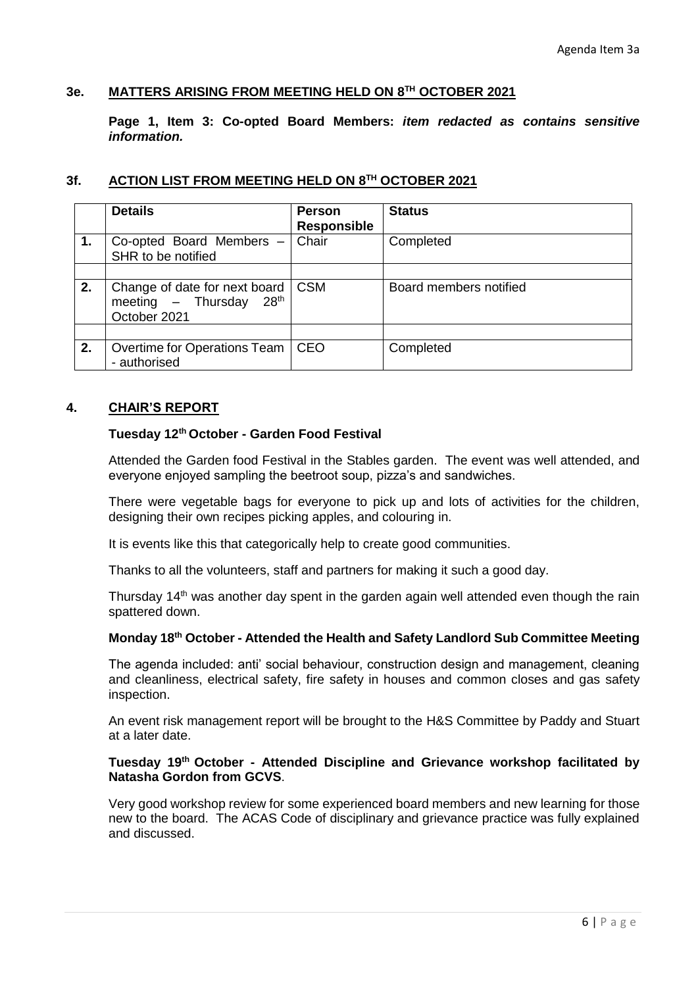## **3e. MATTERS ARISING FROM MEETING HELD ON 8 TH OCTOBER 2021**

**Page 1, Item 3: Co-opted Board Members:** *item redacted as contains sensitive information.* 

### **3f. ACTION LIST FROM MEETING HELD ON 8 TH OCTOBER 2021**

|    | <b>Details</b>                                                                                  | <b>Person</b><br><b>Responsible</b> | <b>Status</b>          |
|----|-------------------------------------------------------------------------------------------------|-------------------------------------|------------------------|
| 1. | Co-opted Board Members -<br>SHR to be notified                                                  | Chair                               | Completed              |
|    |                                                                                                 |                                     |                        |
| 2. | Change of date for next board   CSM<br>meeting $-$ Thursday<br>28 <sup>th</sup><br>October 2021 |                                     | Board members notified |
|    |                                                                                                 |                                     |                        |
| 2. | Overtime for Operations Team   CEO<br>- authorised                                              |                                     | Completed              |

## **4. CHAIR'S REPORT**

#### **Tuesday 12th October - Garden Food Festival**

Attended the Garden food Festival in the Stables garden. The event was well attended, and everyone enjoyed sampling the beetroot soup, pizza's and sandwiches.

There were vegetable bags for everyone to pick up and lots of activities for the children, designing their own recipes picking apples, and colouring in.

It is events like this that categorically help to create good communities.

Thanks to all the volunteers, staff and partners for making it such a good day.

Thursday 14<sup>th</sup> was another day spent in the garden again well attended even though the rain spattered down.

#### **Monday 18th October - Attended the Health and Safety Landlord Sub Committee Meeting**

The agenda included: anti' social behaviour, construction design and management, cleaning and cleanliness, electrical safety, fire safety in houses and common closes and gas safety inspection.

An event risk management report will be brought to the H&S Committee by Paddy and Stuart at a later date.

### **Tuesday 19th October - Attended Discipline and Grievance workshop facilitated by Natasha Gordon from GCVS**.

Very good workshop review for some experienced board members and new learning for those new to the board. The ACAS Code of disciplinary and grievance practice was fully explained and discussed.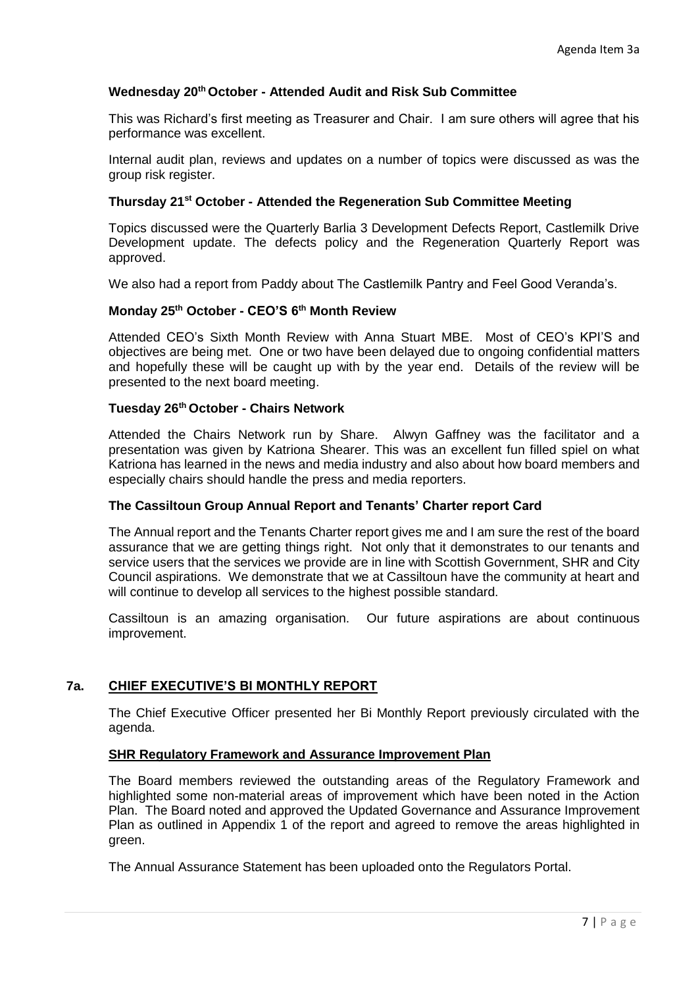## **Wednesday 20th October - Attended Audit and Risk Sub Committee**

This was Richard's first meeting as Treasurer and Chair. I am sure others will agree that his performance was excellent.

Internal audit plan, reviews and updates on a number of topics were discussed as was the group risk register.

### **Thursday 21st October - Attended the Regeneration Sub Committee Meeting**

Topics discussed were the Quarterly Barlia 3 Development Defects Report, Castlemilk Drive Development update. The defects policy and the Regeneration Quarterly Report was approved.

We also had a report from Paddy about The Castlemilk Pantry and Feel Good Veranda's.

### **Monday 25th October - CEO'S 6th Month Review**

Attended CEO's Sixth Month Review with Anna Stuart MBE. Most of CEO's KPI'S and objectives are being met. One or two have been delayed due to ongoing confidential matters and hopefully these will be caught up with by the year end. Details of the review will be presented to the next board meeting.

## **Tuesday 26th October - Chairs Network**

Attended the Chairs Network run by Share. Alwyn Gaffney was the facilitator and a presentation was given by Katriona Shearer. This was an excellent fun filled spiel on what Katriona has learned in the news and media industry and also about how board members and especially chairs should handle the press and media reporters.

#### **The Cassiltoun Group Annual Report and Tenants' Charter report Card**

The Annual report and the Tenants Charter report gives me and I am sure the rest of the board assurance that we are getting things right. Not only that it demonstrates to our tenants and service users that the services we provide are in line with Scottish Government, SHR and City Council aspirations. We demonstrate that we at Cassiltoun have the community at heart and will continue to develop all services to the highest possible standard.

Cassiltoun is an amazing organisation. Our future aspirations are about continuous improvement.

## **7a. CHIEF EXECUTIVE'S BI MONTHLY REPORT**

The Chief Executive Officer presented her Bi Monthly Report previously circulated with the agenda.

#### **SHR Regulatory Framework and Assurance Improvement Plan**

The Board members reviewed the outstanding areas of the Regulatory Framework and highlighted some non-material areas of improvement which have been noted in the Action Plan. The Board noted and approved the Updated Governance and Assurance Improvement Plan as outlined in Appendix 1 of the report and agreed to remove the areas highlighted in green.

The Annual Assurance Statement has been uploaded onto the Regulators Portal.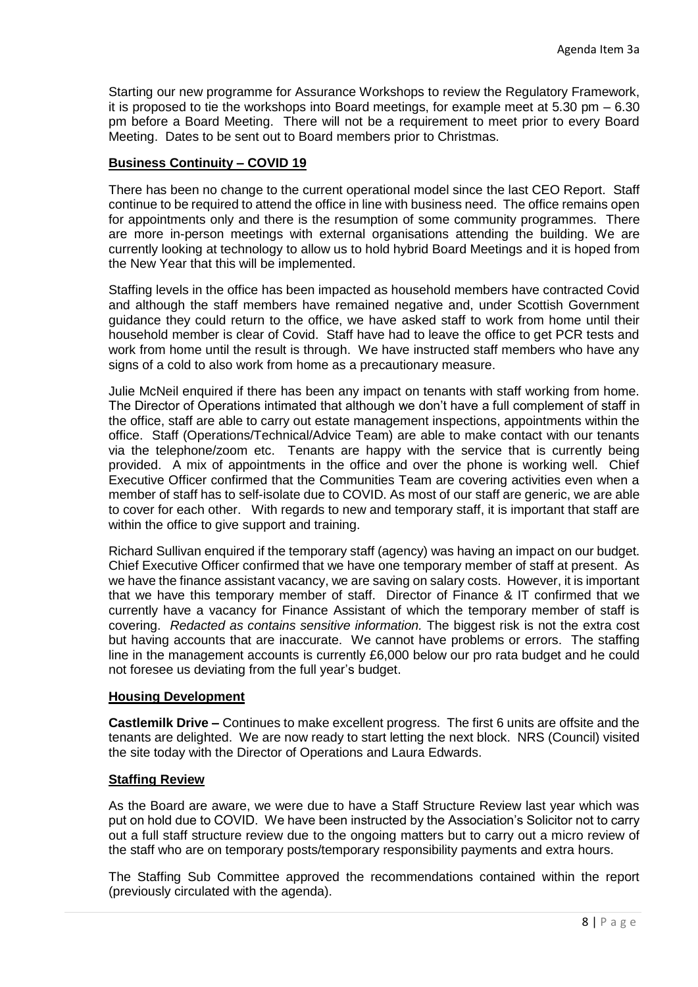Starting our new programme for Assurance Workshops to review the Regulatory Framework, it is proposed to tie the workshops into Board meetings, for example meet at 5.30 pm – 6.30 pm before a Board Meeting. There will not be a requirement to meet prior to every Board Meeting. Dates to be sent out to Board members prior to Christmas.

## **Business Continuity – COVID 19**

There has been no change to the current operational model since the last CEO Report. Staff continue to be required to attend the office in line with business need. The office remains open for appointments only and there is the resumption of some community programmes. There are more in-person meetings with external organisations attending the building. We are currently looking at technology to allow us to hold hybrid Board Meetings and it is hoped from the New Year that this will be implemented.

Staffing levels in the office has been impacted as household members have contracted Covid and although the staff members have remained negative and, under Scottish Government guidance they could return to the office, we have asked staff to work from home until their household member is clear of Covid. Staff have had to leave the office to get PCR tests and work from home until the result is through. We have instructed staff members who have any signs of a cold to also work from home as a precautionary measure.

Julie McNeil enquired if there has been any impact on tenants with staff working from home. The Director of Operations intimated that although we don't have a full complement of staff in the office, staff are able to carry out estate management inspections, appointments within the office. Staff (Operations/Technical/Advice Team) are able to make contact with our tenants via the telephone/zoom etc. Tenants are happy with the service that is currently being provided. A mix of appointments in the office and over the phone is working well. Chief Executive Officer confirmed that the Communities Team are covering activities even when a member of staff has to self-isolate due to COVID. As most of our staff are generic, we are able to cover for each other. With regards to new and temporary staff, it is important that staff are within the office to give support and training.

Richard Sullivan enquired if the temporary staff (agency) was having an impact on our budget. Chief Executive Officer confirmed that we have one temporary member of staff at present. As we have the finance assistant vacancy, we are saving on salary costs. However, it is important that we have this temporary member of staff. Director of Finance & IT confirmed that we currently have a vacancy for Finance Assistant of which the temporary member of staff is covering. *Redacted as contains sensitive information.* The biggest risk is not the extra cost but having accounts that are inaccurate. We cannot have problems or errors. The staffing line in the management accounts is currently £6,000 below our pro rata budget and he could not foresee us deviating from the full year's budget.

## **Housing Development**

**Castlemilk Drive –** Continues to make excellent progress. The first 6 units are offsite and the tenants are delighted. We are now ready to start letting the next block. NRS (Council) visited the site today with the Director of Operations and Laura Edwards.

## **Staffing Review**

As the Board are aware, we were due to have a Staff Structure Review last year which was put on hold due to COVID. We have been instructed by the Association's Solicitor not to carry out a full staff structure review due to the ongoing matters but to carry out a micro review of the staff who are on temporary posts/temporary responsibility payments and extra hours.

The Staffing Sub Committee approved the recommendations contained within the report (previously circulated with the agenda).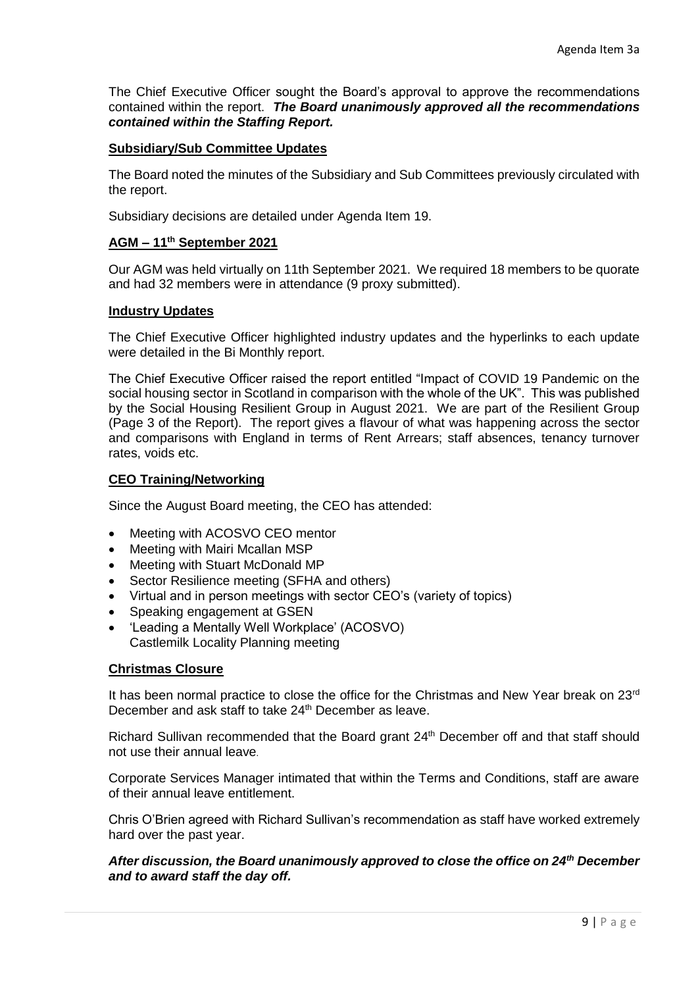The Chief Executive Officer sought the Board's approval to approve the recommendations contained within the report. *The Board unanimously approved all the recommendations contained within the Staffing Report.* 

## **Subsidiary/Sub Committee Updates**

The Board noted the minutes of the Subsidiary and Sub Committees previously circulated with the report.

Subsidiary decisions are detailed under Agenda Item 19.

### **AGM – 11th September 2021**

Our AGM was held virtually on 11th September 2021. We required 18 members to be quorate and had 32 members were in attendance (9 proxy submitted).

### **Industry Updates**

The Chief Executive Officer highlighted industry updates and the hyperlinks to each update were detailed in the Bi Monthly report.

The Chief Executive Officer raised the report entitled "Impact of COVID 19 Pandemic on the social housing sector in Scotland in comparison with the whole of the UK". This was published by the Social Housing Resilient Group in August 2021. We are part of the Resilient Group (Page 3 of the Report). The report gives a flavour of what was happening across the sector and comparisons with England in terms of Rent Arrears; staff absences, tenancy turnover rates, voids etc.

## **CEO Training/Networking**

Since the August Board meeting, the CEO has attended:

- Meeting with ACOSVO CEO mentor
- Meeting with Mairi Mcallan MSP
- Meeting with Stuart McDonald MP
- Sector Resilience meeting (SFHA and others)
- Virtual and in person meetings with sector CEO's (variety of topics)
- Speaking engagement at GSEN
- 'Leading a Mentally Well Workplace' (ACOSVO) Castlemilk Locality Planning meeting

## **Christmas Closure**

It has been normal practice to close the office for the Christmas and New Year break on 23rd December and ask staff to take 24<sup>th</sup> December as leave.

Richard Sullivan recommended that the Board grant 24<sup>th</sup> December off and that staff should not use their annual leave.

Corporate Services Manager intimated that within the Terms and Conditions, staff are aware of their annual leave entitlement.

Chris O'Brien agreed with Richard Sullivan's recommendation as staff have worked extremely hard over the past year.

*After discussion, the Board unanimously approved to close the office on 24th December and to award staff the day off.*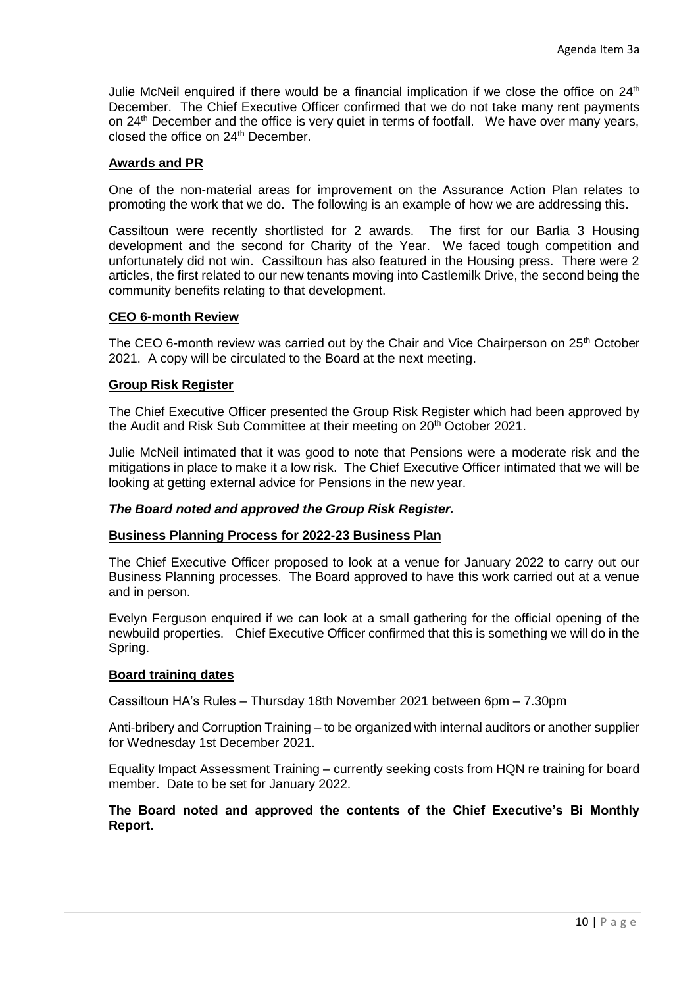Julie McNeil enquired if there would be a financial implication if we close the office on  $24<sup>th</sup>$ December. The Chief Executive Officer confirmed that we do not take many rent payments on 24<sup>th</sup> December and the office is very quiet in terms of footfall. We have over many years, closed the office on 24<sup>th</sup> December.

## **Awards and PR**

One of the non-material areas for improvement on the Assurance Action Plan relates to promoting the work that we do. The following is an example of how we are addressing this.

Cassiltoun were recently shortlisted for 2 awards. The first for our Barlia 3 Housing development and the second for Charity of the Year. We faced tough competition and unfortunately did not win. Cassiltoun has also featured in the Housing press. There were 2 articles, the first related to our new tenants moving into Castlemilk Drive, the second being the community benefits relating to that development.

## **CEO 6-month Review**

The CEO 6-month review was carried out by the Chair and Vice Chairperson on 25<sup>th</sup> October 2021. A copy will be circulated to the Board at the next meeting.

## **Group Risk Register**

The Chief Executive Officer presented the Group Risk Register which had been approved by the Audit and Risk Sub Committee at their meeting on 20<sup>th</sup> October 2021.

Julie McNeil intimated that it was good to note that Pensions were a moderate risk and the mitigations in place to make it a low risk. The Chief Executive Officer intimated that we will be looking at getting external advice for Pensions in the new year.

## *The Board noted and approved the Group Risk Register.*

#### **Business Planning Process for 2022-23 Business Plan**

The Chief Executive Officer proposed to look at a venue for January 2022 to carry out our Business Planning processes. The Board approved to have this work carried out at a venue and in person.

Evelyn Ferguson enquired if we can look at a small gathering for the official opening of the newbuild properties. Chief Executive Officer confirmed that this is something we will do in the Spring.

#### **Board training dates**

Cassiltoun HA's Rules – Thursday 18th November 2021 between 6pm – 7.30pm

Anti-bribery and Corruption Training – to be organized with internal auditors or another supplier for Wednesday 1st December 2021.

Equality Impact Assessment Training – currently seeking costs from HQN re training for board member. Date to be set for January 2022.

## **The Board noted and approved the contents of the Chief Executive's Bi Monthly Report.**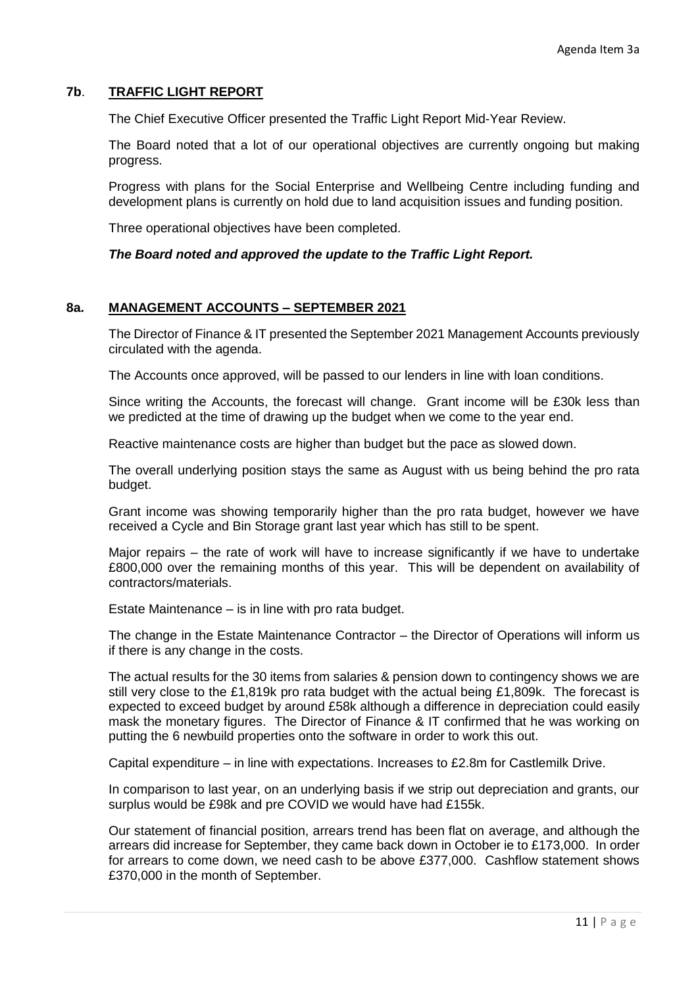## **7b**. **TRAFFIC LIGHT REPORT**

The Chief Executive Officer presented the Traffic Light Report Mid-Year Review.

The Board noted that a lot of our operational objectives are currently ongoing but making progress.

Progress with plans for the Social Enterprise and Wellbeing Centre including funding and development plans is currently on hold due to land acquisition issues and funding position.

Three operational objectives have been completed.

## *The Board noted and approved the update to the Traffic Light Report.*

## **8a. MANAGEMENT ACCOUNTS – SEPTEMBER 2021**

The Director of Finance & IT presented the September 2021 Management Accounts previously circulated with the agenda.

The Accounts once approved, will be passed to our lenders in line with loan conditions.

Since writing the Accounts, the forecast will change. Grant income will be £30k less than we predicted at the time of drawing up the budget when we come to the year end.

Reactive maintenance costs are higher than budget but the pace as slowed down.

The overall underlying position stays the same as August with us being behind the pro rata budget.

Grant income was showing temporarily higher than the pro rata budget, however we have received a Cycle and Bin Storage grant last year which has still to be spent.

Major repairs – the rate of work will have to increase significantly if we have to undertake £800,000 over the remaining months of this year. This will be dependent on availability of contractors/materials.

Estate Maintenance – is in line with pro rata budget.

The change in the Estate Maintenance Contractor – the Director of Operations will inform us if there is any change in the costs.

The actual results for the 30 items from salaries & pension down to contingency shows we are still very close to the £1,819k pro rata budget with the actual being £1,809k. The forecast is expected to exceed budget by around £58k although a difference in depreciation could easily mask the monetary figures. The Director of Finance & IT confirmed that he was working on putting the 6 newbuild properties onto the software in order to work this out.

Capital expenditure – in line with expectations. Increases to £2.8m for Castlemilk Drive.

In comparison to last year, on an underlying basis if we strip out depreciation and grants, our surplus would be £98k and pre COVID we would have had £155k.

Our statement of financial position, arrears trend has been flat on average, and although the arrears did increase for September, they came back down in October ie to £173,000. In order for arrears to come down, we need cash to be above £377,000. Cashflow statement shows £370,000 in the month of September.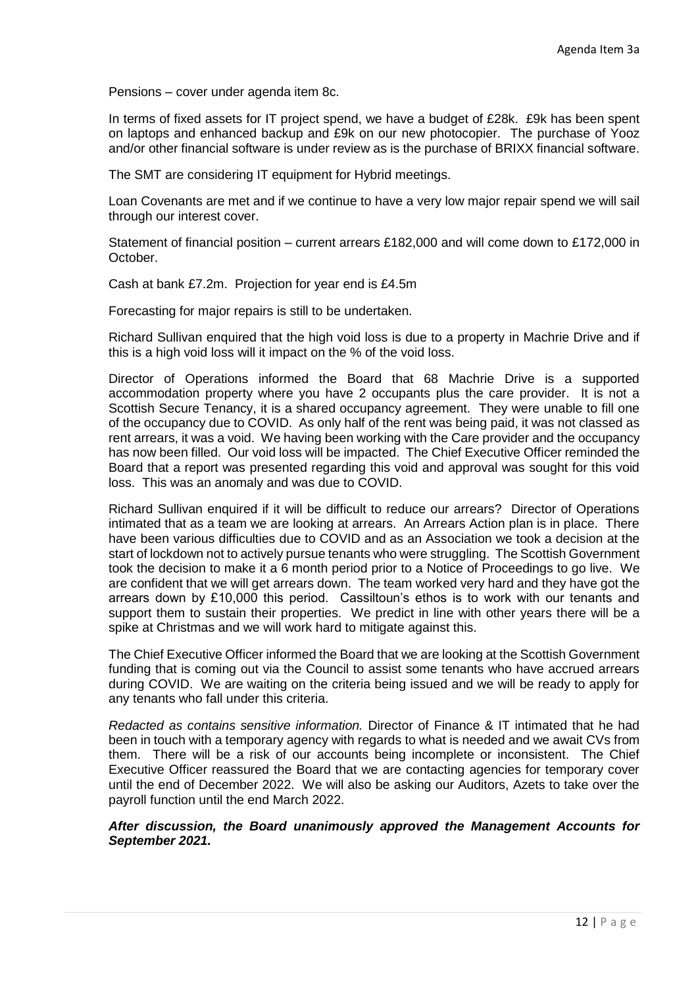Pensions – cover under agenda item 8c.

In terms of fixed assets for IT project spend, we have a budget of £28k. £9k has been spent on laptops and enhanced backup and £9k on our new photocopier. The purchase of Yooz and/or other financial software is under review as is the purchase of BRIXX financial software.

The SMT are considering IT equipment for Hybrid meetings.

Loan Covenants are met and if we continue to have a very low major repair spend we will sail through our interest cover.

Statement of financial position – current arrears £182,000 and will come down to £172,000 in October.

Cash at bank £7.2m. Projection for year end is £4.5m

Forecasting for major repairs is still to be undertaken.

Richard Sullivan enquired that the high void loss is due to a property in Machrie Drive and if this is a high void loss will it impact on the % of the void loss.

Director of Operations informed the Board that 68 Machrie Drive is a supported accommodation property where you have 2 occupants plus the care provider. It is not a Scottish Secure Tenancy, it is a shared occupancy agreement. They were unable to fill one of the occupancy due to COVID. As only half of the rent was being paid, it was not classed as rent arrears, it was a void. We having been working with the Care provider and the occupancy has now been filled. Our void loss will be impacted. The Chief Executive Officer reminded the Board that a report was presented regarding this void and approval was sought for this void loss. This was an anomaly and was due to COVID.

Richard Sullivan enquired if it will be difficult to reduce our arrears? Director of Operations intimated that as a team we are looking at arrears. An Arrears Action plan is in place. There have been various difficulties due to COVID and as an Association we took a decision at the start of lockdown not to actively pursue tenants who were struggling. The Scottish Government took the decision to make it a 6 month period prior to a Notice of Proceedings to go live. We are confident that we will get arrears down. The team worked very hard and they have got the arrears down by £10,000 this period. Cassiltoun's ethos is to work with our tenants and support them to sustain their properties. We predict in line with other years there will be a spike at Christmas and we will work hard to mitigate against this.

The Chief Executive Officer informed the Board that we are looking at the Scottish Government funding that is coming out via the Council to assist some tenants who have accrued arrears during COVID. We are waiting on the criteria being issued and we will be ready to apply for any tenants who fall under this criteria.

*Redacted as contains sensitive information.* Director of Finance & IT intimated that he had been in touch with a temporary agency with regards to what is needed and we await CVs from them. There will be a risk of our accounts being incomplete or inconsistent. The Chief Executive Officer reassured the Board that we are contacting agencies for temporary cover until the end of December 2022. We will also be asking our Auditors, Azets to take over the payroll function until the end March 2022.

*After discussion, the Board unanimously approved the Management Accounts for September 2021.*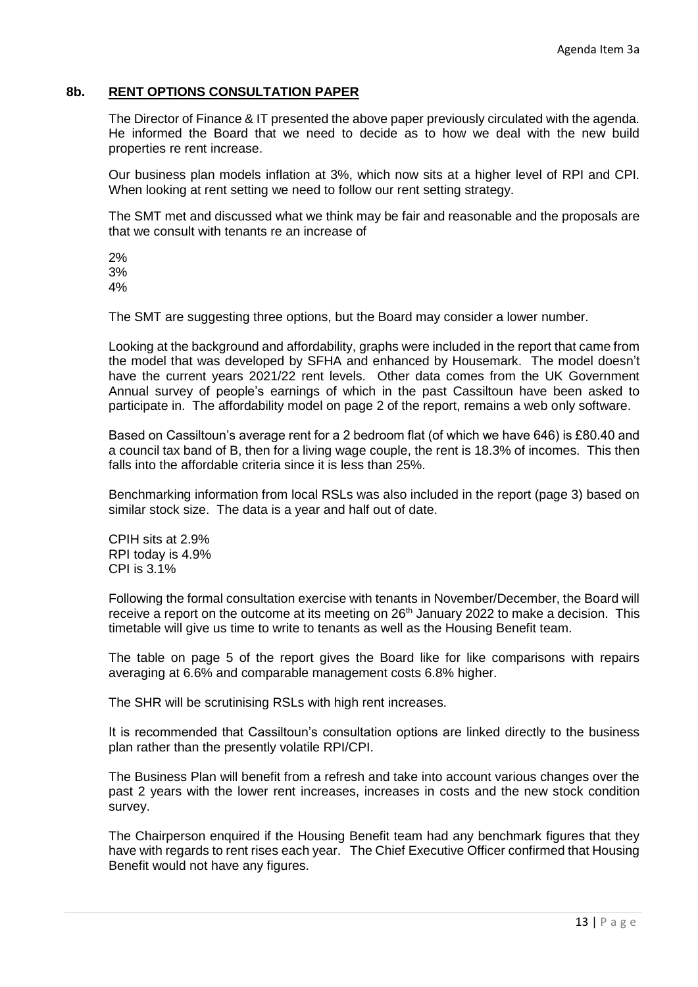## **8b. RENT OPTIONS CONSULTATION PAPER**

The Director of Finance & IT presented the above paper previously circulated with the agenda. He informed the Board that we need to decide as to how we deal with the new build properties re rent increase.

Our business plan models inflation at 3%, which now sits at a higher level of RPI and CPI. When looking at rent setting we need to follow our rent setting strategy.

The SMT met and discussed what we think may be fair and reasonable and the proposals are that we consult with tenants re an increase of

2% 3% 4%

The SMT are suggesting three options, but the Board may consider a lower number.

Looking at the background and affordability, graphs were included in the report that came from the model that was developed by SFHA and enhanced by Housemark. The model doesn't have the current years 2021/22 rent levels. Other data comes from the UK Government Annual survey of people's earnings of which in the past Cassiltoun have been asked to participate in. The affordability model on page 2 of the report, remains a web only software.

Based on Cassiltoun's average rent for a 2 bedroom flat (of which we have 646) is £80.40 and a council tax band of B, then for a living wage couple, the rent is 18.3% of incomes. This then falls into the affordable criteria since it is less than 25%.

Benchmarking information from local RSLs was also included in the report (page 3) based on similar stock size. The data is a year and half out of date.

CPIH sits at 2.9% RPI today is 4.9% CPI is 3.1%

Following the formal consultation exercise with tenants in November/December, the Board will receive a report on the outcome at its meeting on  $26<sup>th</sup>$  January 2022 to make a decision. This timetable will give us time to write to tenants as well as the Housing Benefit team.

The table on page 5 of the report gives the Board like for like comparisons with repairs averaging at 6.6% and comparable management costs 6.8% higher.

The SHR will be scrutinising RSLs with high rent increases.

It is recommended that Cassiltoun's consultation options are linked directly to the business plan rather than the presently volatile RPI/CPI.

The Business Plan will benefit from a refresh and take into account various changes over the past 2 years with the lower rent increases, increases in costs and the new stock condition survey.

The Chairperson enquired if the Housing Benefit team had any benchmark figures that they have with regards to rent rises each year. The Chief Executive Officer confirmed that Housing Benefit would not have any figures.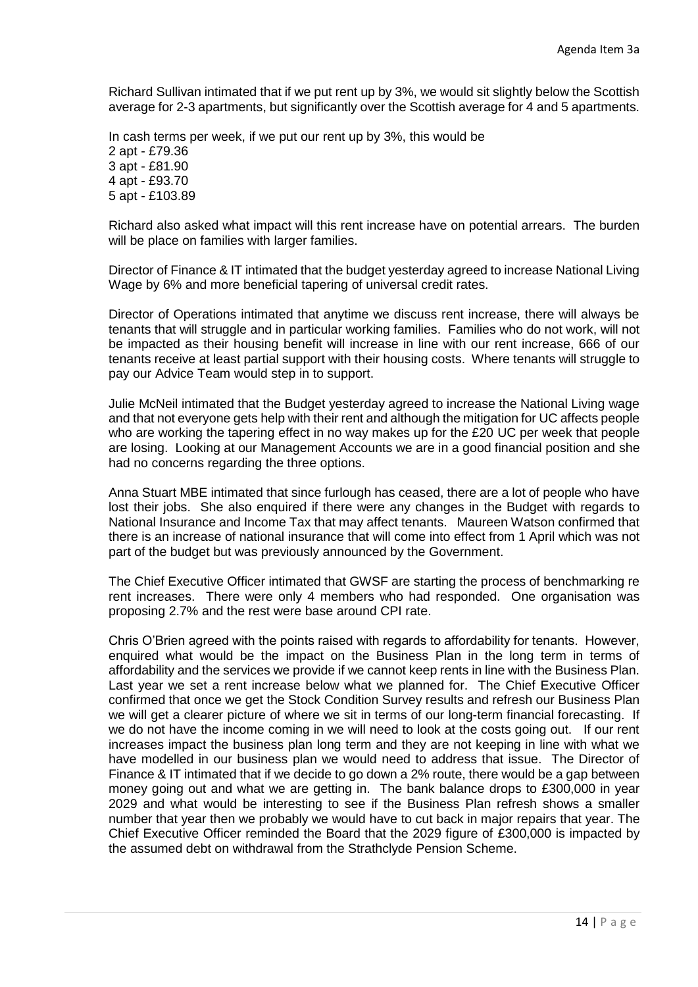Richard Sullivan intimated that if we put rent up by 3%, we would sit slightly below the Scottish average for 2-3 apartments, but significantly over the Scottish average for 4 and 5 apartments.

In cash terms per week, if we put our rent up by 3%, this would be 2 apt - £79.36 3 apt - £81.90 4 apt - £93.70 5 apt - £103.89

Richard also asked what impact will this rent increase have on potential arrears. The burden will be place on families with larger families.

Director of Finance & IT intimated that the budget yesterday agreed to increase National Living Wage by 6% and more beneficial tapering of universal credit rates.

Director of Operations intimated that anytime we discuss rent increase, there will always be tenants that will struggle and in particular working families. Families who do not work, will not be impacted as their housing benefit will increase in line with our rent increase, 666 of our tenants receive at least partial support with their housing costs. Where tenants will struggle to pay our Advice Team would step in to support.

Julie McNeil intimated that the Budget yesterday agreed to increase the National Living wage and that not everyone gets help with their rent and although the mitigation for UC affects people who are working the tapering effect in no way makes up for the £20 UC per week that people are losing. Looking at our Management Accounts we are in a good financial position and she had no concerns regarding the three options.

Anna Stuart MBE intimated that since furlough has ceased, there are a lot of people who have lost their jobs. She also enquired if there were any changes in the Budget with regards to National Insurance and Income Tax that may affect tenants. Maureen Watson confirmed that there is an increase of national insurance that will come into effect from 1 April which was not part of the budget but was previously announced by the Government.

The Chief Executive Officer intimated that GWSF are starting the process of benchmarking re rent increases. There were only 4 members who had responded. One organisation was proposing 2.7% and the rest were base around CPI rate.

Chris O'Brien agreed with the points raised with regards to affordability for tenants. However, enquired what would be the impact on the Business Plan in the long term in terms of affordability and the services we provide if we cannot keep rents in line with the Business Plan. Last year we set a rent increase below what we planned for. The Chief Executive Officer confirmed that once we get the Stock Condition Survey results and refresh our Business Plan we will get a clearer picture of where we sit in terms of our long-term financial forecasting. If we do not have the income coming in we will need to look at the costs going out. If our rent increases impact the business plan long term and they are not keeping in line with what we have modelled in our business plan we would need to address that issue. The Director of Finance & IT intimated that if we decide to go down a 2% route, there would be a gap between money going out and what we are getting in. The bank balance drops to £300,000 in year 2029 and what would be interesting to see if the Business Plan refresh shows a smaller number that year then we probably we would have to cut back in major repairs that year. The Chief Executive Officer reminded the Board that the 2029 figure of £300,000 is impacted by the assumed debt on withdrawal from the Strathclyde Pension Scheme.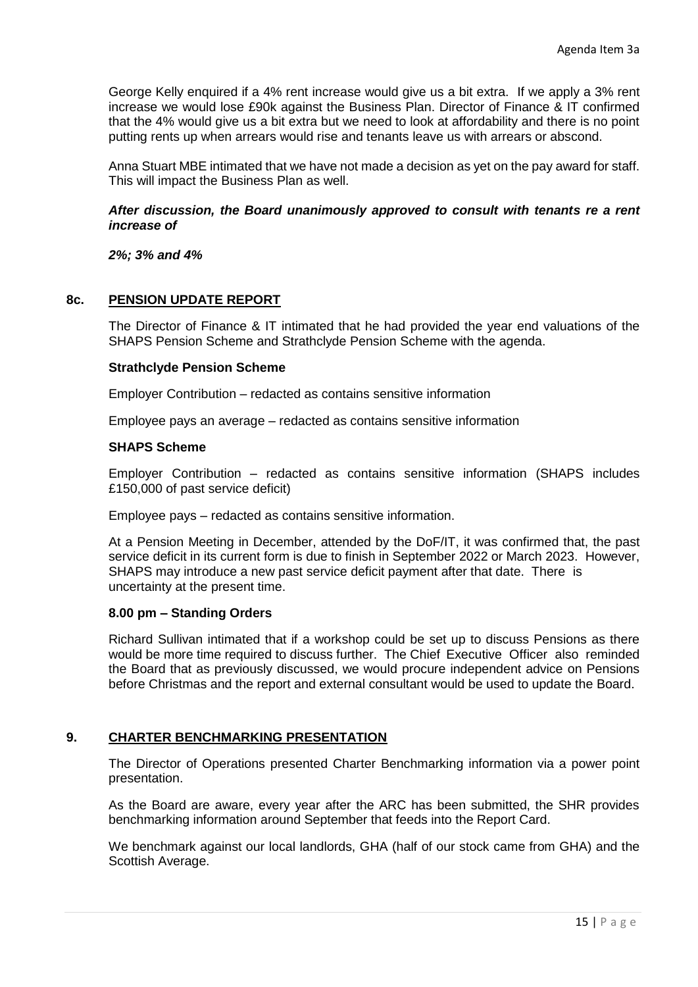George Kelly enquired if a 4% rent increase would give us a bit extra. If we apply a 3% rent increase we would lose £90k against the Business Plan. Director of Finance & IT confirmed that the 4% would give us a bit extra but we need to look at affordability and there is no point putting rents up when arrears would rise and tenants leave us with arrears or abscond.

Anna Stuart MBE intimated that we have not made a decision as yet on the pay award for staff. This will impact the Business Plan as well.

### *After discussion, the Board unanimously approved to consult with tenants re a rent increase of*

*2%; 3% and 4%* 

## **8c. PENSION UPDATE REPORT**

The Director of Finance & IT intimated that he had provided the year end valuations of the SHAPS Pension Scheme and Strathclyde Pension Scheme with the agenda.

### **Strathclyde Pension Scheme**

Employer Contribution – redacted as contains sensitive information

Employee pays an average – redacted as contains sensitive information

### **SHAPS Scheme**

Employer Contribution – redacted as contains sensitive information (SHAPS includes £150,000 of past service deficit)

Employee pays – redacted as contains sensitive information.

At a Pension Meeting in December, attended by the DoF/IT, it was confirmed that, the past service deficit in its current form is due to finish in September 2022 or March 2023. However, SHAPS may introduce a new past service deficit payment after that date. There is uncertainty at the present time.

#### **8.00 pm – Standing Orders**

Richard Sullivan intimated that if a workshop could be set up to discuss Pensions as there would be more time required to discuss further. The Chief Executive Officer also reminded the Board that as previously discussed, we would procure independent advice on Pensions before Christmas and the report and external consultant would be used to update the Board.

## **9. CHARTER BENCHMARKING PRESENTATION**

The Director of Operations presented Charter Benchmarking information via a power point presentation.

As the Board are aware, every year after the ARC has been submitted, the SHR provides benchmarking information around September that feeds into the Report Card.

We benchmark against our local landlords, GHA (half of our stock came from GHA) and the Scottish Average.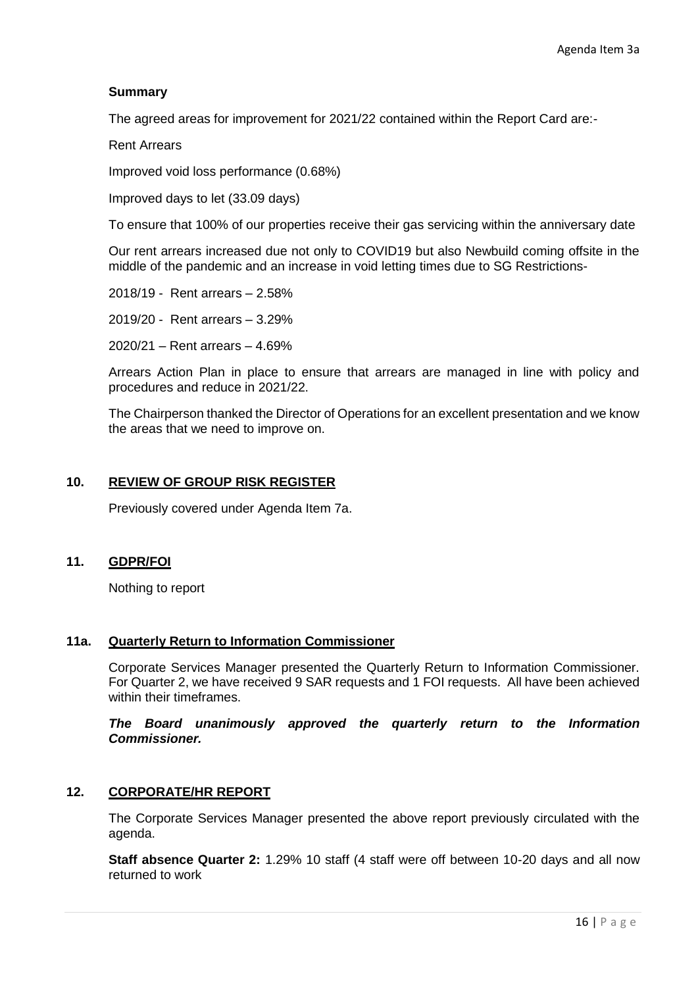### **Summary**

The agreed areas for improvement for 2021/22 contained within the Report Card are:-

Rent Arrears

Improved void loss performance (0.68%)

Improved days to let (33.09 days)

To ensure that 100% of our properties receive their gas servicing within the anniversary date

Our rent arrears increased due not only to COVID19 but also Newbuild coming offsite in the middle of the pandemic and an increase in void letting times due to SG Restrictions-

2018/19 - Rent arrears – 2.58%

2019/20 - Rent arrears – 3.29%

2020/21 – Rent arrears – 4.69%

Arrears Action Plan in place to ensure that arrears are managed in line with policy and procedures and reduce in 2021/22.

The Chairperson thanked the Director of Operations for an excellent presentation and we know the areas that we need to improve on.

## **10. REVIEW OF GROUP RISK REGISTER**

Previously covered under Agenda Item 7a.

## **11. GDPR/FOI**

Nothing to report

#### **11a. Quarterly Return to Information Commissioner**

Corporate Services Manager presented the Quarterly Return to Information Commissioner. For Quarter 2, we have received 9 SAR requests and 1 FOI requests. All have been achieved within their timeframes.

*The Board unanimously approved the quarterly return to the Information Commissioner.*

### **12. CORPORATE/HR REPORT**

The Corporate Services Manager presented the above report previously circulated with the agenda.

**Staff absence Quarter 2:** 1.29% 10 staff (4 staff were off between 10-20 days and all now returned to work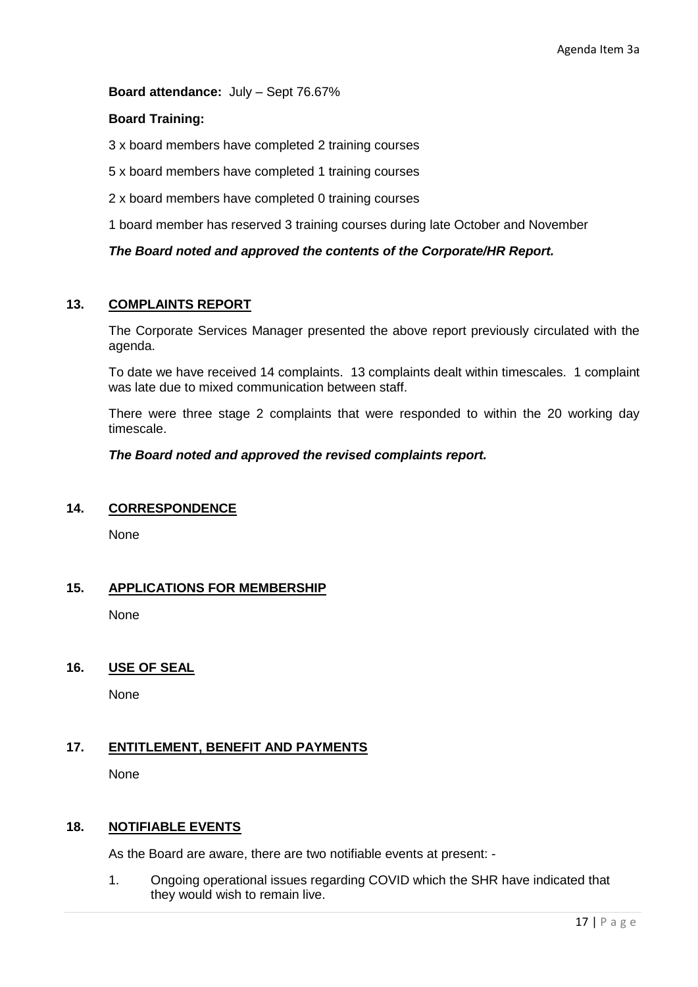### **Board attendance:** July – Sept 76.67%

### **Board Training:**

3 x board members have completed 2 training courses

5 x board members have completed 1 training courses

2 x board members have completed 0 training courses

1 board member has reserved 3 training courses during late October and November

## *The Board noted and approved the contents of the Corporate/HR Report.*

## **13. COMPLAINTS REPORT**

The Corporate Services Manager presented the above report previously circulated with the agenda.

To date we have received 14 complaints. 13 complaints dealt within timescales. 1 complaint was late due to mixed communication between staff.

There were three stage 2 complaints that were responded to within the 20 working day timescale.

## *The Board noted and approved the revised complaints report.*

#### **14. CORRESPONDENCE**

None

## **15. APPLICATIONS FOR MEMBERSHIP**

None

#### **16. USE OF SEAL**

None

## **17. ENTITLEMENT, BENEFIT AND PAYMENTS**

None

## **18. NOTIFIABLE EVENTS**

As the Board are aware, there are two notifiable events at present: -

1. Ongoing operational issues regarding COVID which the SHR have indicated that they would wish to remain live.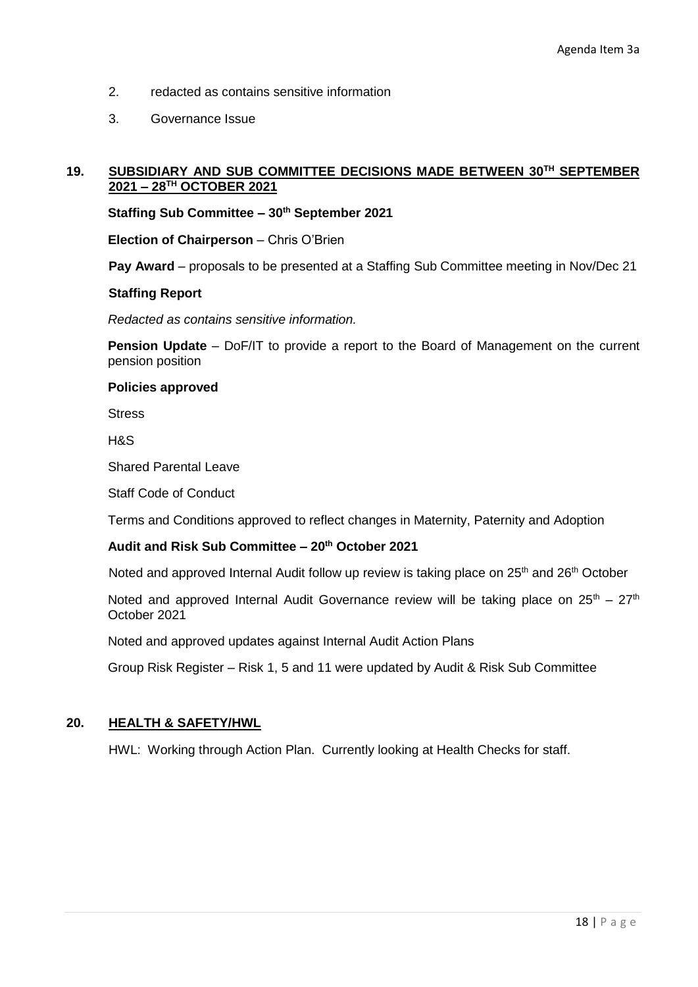- 2. redacted as contains sensitive information
- 3. Governance Issue

## **19. SUBSIDIARY AND SUB COMMITTEE DECISIONS MADE BETWEEN 30TH SEPTEMBER 2021 – 28TH OCTOBER 2021**

**Staffing Sub Committee – 30th September 2021**

**Election of Chairperson** – Chris O'Brien

**Pay Award** – proposals to be presented at a Staffing Sub Committee meeting in Nov/Dec 21

### **Staffing Report**

*Redacted as contains sensitive information.*

**Pension Update** – DoF/IT to provide a report to the Board of Management on the current pension position

#### **Policies approved**

**Stress** 

H&S

Shared Parental Leave

Staff Code of Conduct

Terms and Conditions approved to reflect changes in Maternity, Paternity and Adoption

## **Audit and Risk Sub Committee – 20th October 2021**

Noted and approved Internal Audit follow up review is taking place on 25<sup>th</sup> and 26<sup>th</sup> October

Noted and approved Internal Audit Governance review will be taking place on  $25<sup>th</sup> - 27<sup>th</sup>$ October 2021

Noted and approved updates against Internal Audit Action Plans

Group Risk Register – Risk 1, 5 and 11 were updated by Audit & Risk Sub Committee

## **20. HEALTH & SAFETY/HWL**

HWL: Working through Action Plan. Currently looking at Health Checks for staff.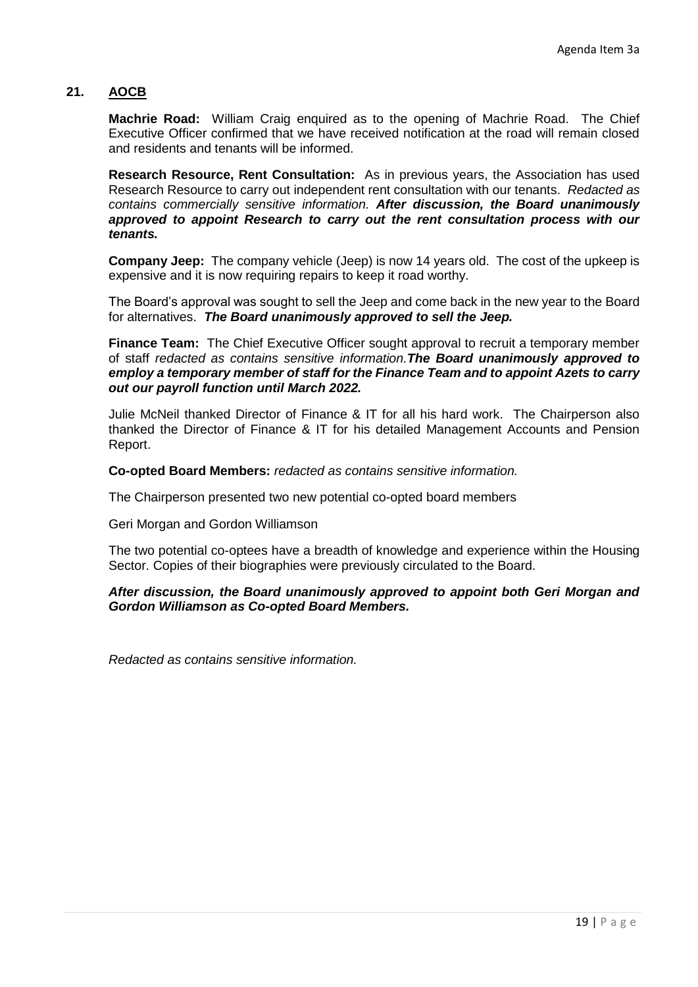# **21. AOCB**

**Machrie Road:** William Craig enquired as to the opening of Machrie Road. The Chief Executive Officer confirmed that we have received notification at the road will remain closed and residents and tenants will be informed.

**Research Resource, Rent Consultation:** As in previous years, the Association has used Research Resource to carry out independent rent consultation with our tenants. *Redacted as contains commercially sensitive information. After discussion, the Board unanimously approved to appoint Research to carry out the rent consultation process with our tenants.*

**Company Jeep:**The company vehicle (Jeep) is now 14 years old. The cost of the upkeep is expensive and it is now requiring repairs to keep it road worthy.

The Board's approval was sought to sell the Jeep and come back in the new year to the Board for alternatives. *The Board unanimously approved to sell the Jeep.*

**Finance Team:**The Chief Executive Officer sought approval to recruit a temporary member of staff *redacted as contains sensitive information.The Board unanimously approved to employ a temporary member of staff for the Finance Team and to appoint Azets to carry out our payroll function until March 2022.*

Julie McNeil thanked Director of Finance & IT for all his hard work. The Chairperson also thanked the Director of Finance & IT for his detailed Management Accounts and Pension Report.

**Co-opted Board Members:** *redacted as contains sensitive information.*

The Chairperson presented two new potential co-opted board members

Geri Morgan and Gordon Williamson

The two potential co-optees have a breadth of knowledge and experience within the Housing Sector. Copies of their biographies were previously circulated to the Board.

### *After discussion, the Board unanimously approved to appoint both Geri Morgan and Gordon Williamson as Co-opted Board Members.*

*Redacted as contains sensitive information.*